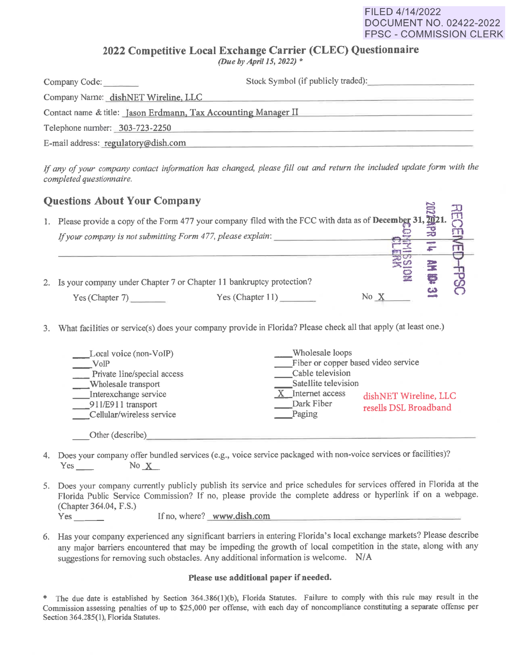## FILED 4/14/2022 DOCUMENT NO. 02422-2022 FPSC - COMMISSION CLERK

**2022 Competitive Local Exchange Carrier (CLEC) Questionnaire** 

*(Due by April 15, 2022)* \*

| Company Code:                                                  | Stock Symbol (if publicly traded): |
|----------------------------------------------------------------|------------------------------------|
| Company Name: dishNET Wireline, LLC                            |                                    |
| Contact name & title: Jason Erdmann, Tax Accounting Manager II |                                    |
| Telephone number: 303-723-2250                                 |                                    |
| E-mail address: regulatory@dish.com                            |                                    |

*If any of your company contact information has changed, please fill out and return the included update form with the completed questionnaire.* 

## **Questions About Your Company**   $\approx$  c::

| 1. | If your company is not submitting Form 477, please explain:             | Please provide a copy of the Form 477 your company filed with the FCC with data as of December 31, 2021. |      |  |
|----|-------------------------------------------------------------------------|----------------------------------------------------------------------------------------------------------|------|--|
|    |                                                                         |                                                                                                          |      |  |
|    | 2. Is your company under Chapter 7 or Chapter 11 bankruptcy protection? |                                                                                                          |      |  |
|    | Yes (Chapter 7)                                                         | Yes (Chapter 11)                                                                                         | No X |  |

3. What facilities or service(s) does your company provide in Florida? Please check all that apply (at least one.)

| Local voice (non-VoIP)<br>VoIP<br>Private line/special access<br>Wholesale transport<br>Interexchange service<br>911/E911 transport<br>Cellular/wireless service | Wholesale loops<br>Fiber or copper based video service<br>Cable television<br>Satellite television<br>Internet access<br>dishNET Wireline, LLC<br>Dark Fiber<br>resells DSL Broadband<br>Paging |
|------------------------------------------------------------------------------------------------------------------------------------------------------------------|-------------------------------------------------------------------------------------------------------------------------------------------------------------------------------------------------|
| Other (describe)                                                                                                                                                 |                                                                                                                                                                                                 |

- 4. Does your company offer bundled services (e.g., voice service packaged with non-voice services or facilities)?  $Yes$  No  $X$
- 5. Does your company currently publicly publish its service and price schedules for services offered in Florida at the Florida Public Service Commission? If no, please provide the complete address or hyperlink if on a webpage. (Chapter 364.04, F.S.) Yes \_\_\_\_ If no, where? www.dish.com
- 6. Has your company experienced any significant barriers in entering Florida's local exchange markets? Please describe any major barriers encountered that may be impeding the growth of local competition in the state, along with any suggestions for removing such obstacles. Any additional information is welcome. N/A

## **Please use additional paper if needed.**

\* The due date is established by Section 364.386(l)(b), Florida Statutes. Failure to comply with this rule may result in the Commission assessing penalties of up to \$25,000 per offense, with each day of noncompliance constituting a separate offense per Section 364.285(1), Florida Statutes.